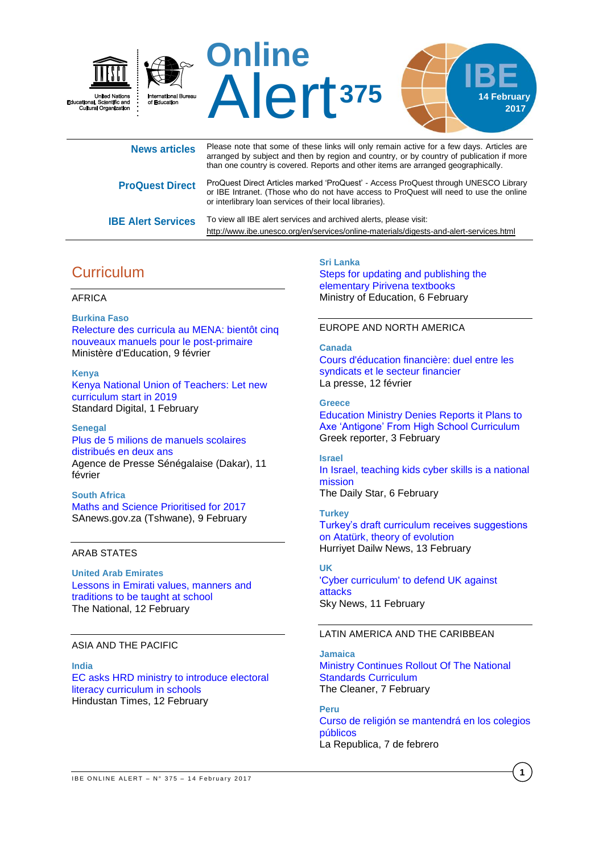

| <b>News articles</b>      | Please note that some of these links will only remain active for a few days. Articles are<br>arranged by subject and then by region and country, or by country of publication if more<br>than one country is covered. Reports and other items are arranged geographically. |
|---------------------------|----------------------------------------------------------------------------------------------------------------------------------------------------------------------------------------------------------------------------------------------------------------------------|
| <b>ProQuest Direct</b>    | ProQuest Direct Articles marked 'ProQuest' - Access ProQuest through UNESCO Library<br>or IBE Intranet. (Those who do not have access to ProQuest will need to use the online<br>or interlibrary loan services of their local libraries).                                  |
| <b>IBE Alert Services</b> | To view all IBE alert services and archived alerts, please visit:<br>http://www.ibe.unesco.org/en/services/online-materials/digests-and-alert-services.html                                                                                                                |

# **Curriculum**

### AFRICA

**Burkina Faso** [Relecture des curricula au MENA: bientôt cinq](http://www.mena.gov.bf/index.php?option=com_content&view=article&id=783:relecture-des-curricula-au-mena-bientot-cinq-nouveaux-manuels-pour-le-post-primaire&catid=168&Itemid=506)  [nouveaux manuels pour le post-primaire](http://www.mena.gov.bf/index.php?option=com_content&view=article&id=783:relecture-des-curricula-au-mena-bientot-cinq-nouveaux-manuels-pour-le-post-primaire&catid=168&Itemid=506) Ministère d'Education, 9 février

#### **Kenya**

[Kenya National Union of Teachers: Let new](https://www.standardmedia.co.ke/article/2001227900/kenya-national-union-of-teachers-let-new-curriculum-start-in-2019)  [curriculum start in 2019](https://www.standardmedia.co.ke/article/2001227900/kenya-national-union-of-teachers-let-new-curriculum-start-in-2019) Standard Digital, 1 February

#### **Senegal**

[Plus de 5 milions de manuels scolaires](http://fr.allafrica.com/stories/201702110273.html)  [distribués en deux ans](http://fr.allafrica.com/stories/201702110273.html) Agence de Presse Sénégalaise (Dakar), 11 février

## **South Africa**

[Maths and Science Prioritised for 2017](http://allafrica.com/stories/201702110245.html) SAnews.gov.za (Tshwane), 9 February

## ARAB STATES

**United Arab Emirates** [Lessons in Emirati values, manners](http://www.thenational.ae/uae/lessons-in-emirati-values-manners-and-traditions-to-be-taught-at-school) and [traditions to be taught at school](http://www.thenational.ae/uae/lessons-in-emirati-values-manners-and-traditions-to-be-taught-at-school) The National, 12 February

### ASIA AND THE PACIFIC

**India** [EC asks HRD ministry to introduce electoral](http://www.hindustantimes.com/india-news/ec-asks-hrd-ministry-to-introduce-electoral-literacy-curriculum-in-schools/story-6OcwlSUHtpQOBRdfE6fR3N.html)  [literacy curriculum in schools](http://www.hindustantimes.com/india-news/ec-asks-hrd-ministry-to-introduce-electoral-literacy-curriculum-in-schools/story-6OcwlSUHtpQOBRdfE6fR3N.html) Hindustan Times, 12 February

**Sri Lanka** [Steps for updating and publishing the](http://www.moe.gov.lk/english/index.php?option=com_content&view=article&id=1680:steps-for-updating-and-publishing-the-elementary-pirivena-textbooks&catid=344:latest-news&Itemid=771http://www.moe.gov.lk/english/index.php?option=com_content&view=art)  [elementary Pirivena textbooks](http://www.moe.gov.lk/english/index.php?option=com_content&view=article&id=1680:steps-for-updating-and-publishing-the-elementary-pirivena-textbooks&catid=344:latest-news&Itemid=771http://www.moe.gov.lk/english/index.php?option=com_content&view=art) Ministry of Education, 6 February

#### EUROPE AND NORTH AMERICA

## **Canada** [Cours d'éducation financière: duel entre les](http://www.lapresse.ca/actualites/education/201702/12/01-5068731-cours-deducation-financiere-duel-entre-les-syndicats-et-le-secteur-financier.php)  [syndicats et le secteur financier](http://www.lapresse.ca/actualites/education/201702/12/01-5068731-cours-deducation-financiere-duel-entre-les-syndicats-et-le-secteur-financier.php) La presse, 12 février

**Greece** [Education Ministry Denies Reports it Plans to](http://greece.greekreporter.com/2017/02/03/education-ministry-denies-reports-it-plans-to-axe-antigone-from-high-school-curriculum/)  [Axe 'Antigone' From High School Curriculum](http://greece.greekreporter.com/2017/02/03/education-ministry-denies-reports-it-plans-to-axe-antigone-from-high-school-curriculum/) Greek reporter, 3 February

### **Israel** [In Israel, teaching kids cyber skills is a national](http://www.dailystar.com.lb/News/Middle-East/2017/Feb-06/392383-in-israel-teaching-kids-cyber-skills-is-a-national-mission.ashx)  [mission](http://www.dailystar.com.lb/News/Middle-East/2017/Feb-06/392383-in-israel-teaching-kids-cyber-skills-is-a-national-mission.ashx) The Daily Star, 6 February

**Turkey** [Turkey's draft curriculum receives suggestions](http://www.hurriyetdailynews.com/turkeys-draft-curriculum-receives-suggestions-on-ataturk-theory-of-evolution.aspx?pageID=238&nID=109675&NewsCatID=341)  [on Atatürk, theory of evolution](http://www.hurriyetdailynews.com/turkeys-draft-curriculum-receives-suggestions-on-ataturk-theory-of-evolution.aspx?pageID=238&nID=109675&NewsCatID=341) Hurriyet Dailw News, 13 February

## **UK**

['Cyber curriculum' to defend UK against](http://news.sky.com/story/cyber-curriculum-to-defend-uk-against-attacks-10763378)  [attacks](http://news.sky.com/story/cyber-curriculum-to-defend-uk-against-attacks-10763378) Sky News, 11 February

### LATIN AMERICA AND THE CARIBBEAN

**Jamaica** [Ministry Continues Rollout Of The National](http://jamaica-gleaner.com/article/art-leisure/20170205/ministry-continues-rollout-national-standards-curriculum)  [Standards Curriculum](http://jamaica-gleaner.com/article/art-leisure/20170205/ministry-continues-rollout-national-standards-curriculum) The Cleaner, 7 February

## **Peru**

[Curso de religión se mantendrá en los colegios](http://larepublica.pe/impresa/sociedad/846226-curso-de-religion-se-mantendra-en-los-colegios-publicos)  [públicos](http://larepublica.pe/impresa/sociedad/846226-curso-de-religion-se-mantendra-en-los-colegios-publicos) La Republica, 7 de febrero

**1**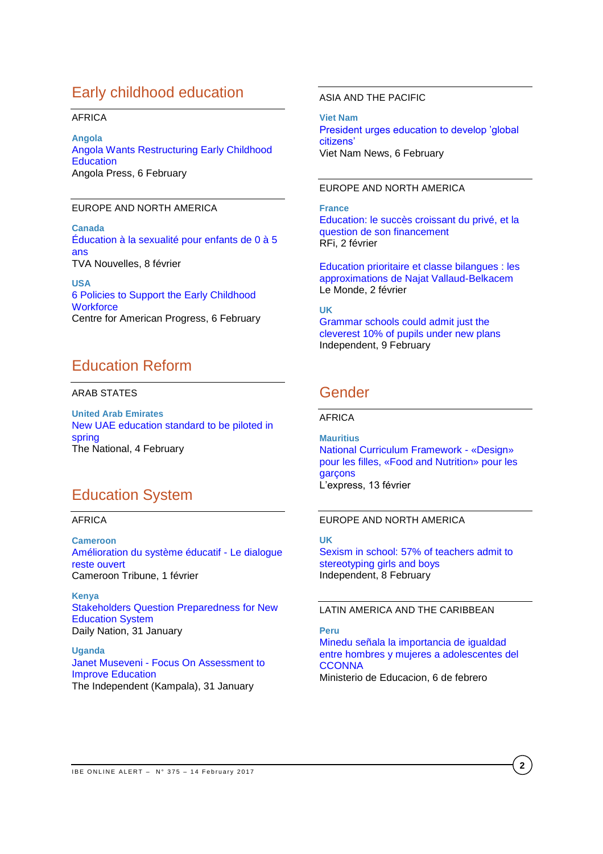# Early childhood education

## AFRICA

**Angola** [Angola Wants Restructuring Early Childhood](http://allafrica.com/stories/201702070540.html)  **[Education](http://allafrica.com/stories/201702070540.html)** Angola Press, 6 February

#### EUROPE AND NORTH AMERICA

**Canada** [Éducation à la sexualité pour enfants de 0 à 5](http://www.tvanouvelles.ca/2017/02/08/education-a-la-sexualite-pour-enfants-de-0-a-5-ans)  [ans](http://www.tvanouvelles.ca/2017/02/08/education-a-la-sexualite-pour-enfants-de-0-a-5-ans) TVA Nouvelles, 8 février

**USA** [6 Policies to Support the Early Childhood](https://www.americanprogress.org/issues/early-childhood/reports/2017/02/06/298085/6-policies-to-support-the-early-childhood-workforce/)  **[Workforce](https://www.americanprogress.org/issues/early-childhood/reports/2017/02/06/298085/6-policies-to-support-the-early-childhood-workforce/)** Centre for American Progress, 6 February

# Education Reform

## ARAB STATES

**United Arab Emirates** [New UAE education standard to be piloted in](http://www.thenational.ae/uae/education/new-uae-education-standard-to-be-piloted-in-spring)  [spring](http://www.thenational.ae/uae/education/new-uae-education-standard-to-be-piloted-in-spring) The National, 4 February

## Education System

## AFRICA

**Cameroon** [Amélioration du système éducatif -](http://fr.allafrica.com/stories/201702010855.html) Le dialogue [reste ouvert](http://fr.allafrica.com/stories/201702010855.html) Cameroon Tribune, 1 février

**Kenya** [Stakeholders Question Preparedness for New](http://allafrica.com/stories/201702010033.html)  [Education System](http://allafrica.com/stories/201702010033.html) Daily Nation, 31 January

**Uganda** Janet Museveni - [Focus On Assessment to](http://allafrica.com/stories/201702010054.html)  [Improve Education](http://allafrica.com/stories/201702010054.html) The Independent (Kampala), 31 January

## ASIA AND THE PACIFIC

**Viet Nam** [President urges education to develop 'global](http://vietnamnews.vn/society/350654/president-urges-education-to-develop-global-citizens.html#i2szza179OHEEPCv.97)  [citizens'](http://vietnamnews.vn/society/350654/president-urges-education-to-develop-global-citizens.html#i2szza179OHEEPCv.97) Viet Nam News, 6 February

### EUROPE AND NORTH AMERICA

**France** [Education: le succès croissant du privé, et la](http://www.rfi.fr/france/20170202-education-succes-croissant-prive-question-son-financement-public)  [question de son financement](http://www.rfi.fr/france/20170202-education-succes-croissant-prive-question-son-financement-public) RFi, 2 février

Education [prioritaire et classe bilangues : les](http://www.lemonde.fr/les-decodeurs/article/2017/02/07/education-prioritaire-et-classe-bilangues-les-approximations-de-najat-vallaud-belkacem_5076099_4355770.html)  [approximations de Najat Vallaud-Belkacem](http://www.lemonde.fr/les-decodeurs/article/2017/02/07/education-prioritaire-et-classe-bilangues-les-approximations-de-najat-vallaud-belkacem_5076099_4355770.html) Le Monde, 2 février

### **UK**

[Grammar schools could admit just the](http://www.independent.co.uk/news/education/grammar-schools-admit-cleverest-10-per-cent-pupils-new-plans-gsha-education-department-national-a7570761.html)  [cleverest 10% of pupils under new plans](http://www.independent.co.uk/news/education/grammar-schools-admit-cleverest-10-per-cent-pupils-new-plans-gsha-education-department-national-a7570761.html) Independent, 9 February

## Gender

#### AFRICA

**Mauritius** [National Curriculum Framework -](http://fr.allafrica.com/stories/201702130707.html) «Design» [pour les filles, «Food and Nutrition» pour les](http://fr.allafrica.com/stories/201702130707.html)  [garçons](http://fr.allafrica.com/stories/201702130707.html) L'express, 13 février

## EUROPE AND NORTH AMERICA

**UK** [Sexism in school: 57% of teachers admit to](http://www.independent.co.uk/news/education/education-news/sexism-schools-poll-teachers-stereotypes-boys-girls-stem-subjects-sciences-maths-tech-a7567896.html)  [stereotyping girls and boys](http://www.independent.co.uk/news/education/education-news/sexism-schools-poll-teachers-stereotypes-boys-girls-stem-subjects-sciences-maths-tech-a7567896.html) Independent, 8 February

## LATIN AMERICA AND THE CARIBBEAN

**Peru** [Minedu señala la importancia de igualdad](http://www.minedu.gob.pe/n/archivo.php)  [entre hombres y mujeres a adolescentes del](http://www.minedu.gob.pe/n/archivo.php)  **[CCONNA](http://www.minedu.gob.pe/n/archivo.php)** Ministerio de Educacion, 6 de febrero

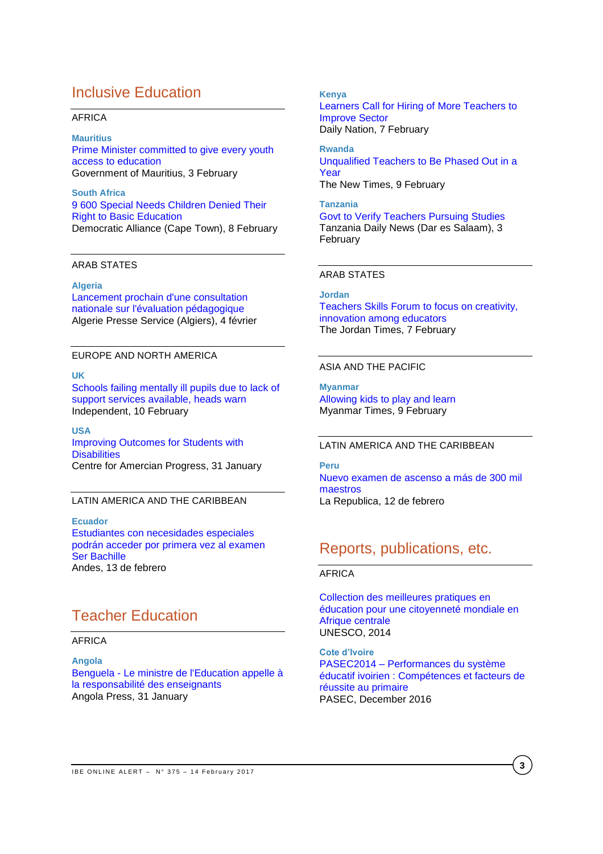# Inclusive Education

#### AFRICA

**Mauritius** [Prime Minister committed to give every youth](http://www.govmu.org/English/News/Pages/Prime-Minister-committed-to-give-every-youth-access-to-education-.aspx)  [access to education](http://www.govmu.org/English/News/Pages/Prime-Minister-committed-to-give-every-youth-access-to-education-.aspx) Government of Mauritius, 3 February

**South Africa** [9 600 Special Needs Children Denied Their](http://allafrica.com/stories/201702080109.html)  [Right to Basic Education](http://allafrica.com/stories/201702080109.html) Democratic Alliance (Cape Town), 8 February

#### ARAB STATES

#### **Algeria**

[Lancement prochain d'une consultation](http://fr.allafrica.com/stories/201702050175.html)  [nationale sur l'évaluation pédagogique](http://fr.allafrica.com/stories/201702050175.html) Algerie Presse Service (Algiers), 4 février

## EUROPE AND NORTH AMERICA

## **UK**

[Schools failing mentally ill pupils due to lack of](http://www.independent.co.uk/news/education/education-news/schools-failing-mentally-ill-pupils-lack-support-services-available-health-wellbeing-anxiety-a7572191.html)  [support services available, heads warn](http://www.independent.co.uk/news/education/education-news/schools-failing-mentally-ill-pupils-lack-support-services-available-health-wellbeing-anxiety-a7572191.html) Independent, 10 February

**USA** [Improving Outcomes for Students with](https://www.americanprogress.org/issues/education/reports/2017/01/31/297746/improving-outcomes-for-students-with-disabilities/)  **[Disabilities](https://www.americanprogress.org/issues/education/reports/2017/01/31/297746/improving-outcomes-for-students-with-disabilities/)** Centre for Amercian Progress, 31 January

### LATIN AMERICA AND THE CARIBBEAN

**Ecuador** [Estudiantes con necesidades especiales](http://www.andes.info.ec/es/noticias/estudiantes-necesidades-especiales-podran-acceder-primera-vez-examen-ser-bachiller.html) 

[podrán acceder por primera vez al examen](http://www.andes.info.ec/es/noticias/estudiantes-necesidades-especiales-podran-acceder-primera-vez-examen-ser-bachiller.html)  [Ser Bachille](http://www.andes.info.ec/es/noticias/estudiantes-necesidades-especiales-podran-acceder-primera-vez-examen-ser-bachiller.html) Andes, 13 de febrero

# Teacher Education

## AFRICA

## **Angola**

Benguela - [Le ministre de l'Education appelle à](http://fr.allafrica.com/stories/201701310815.html)  [la responsabilité des enseignants](http://fr.allafrica.com/stories/201701310815.html) Angola Press, 31 January

## **2017** [Learners Call for Hiring of More Teachers to](http://allafrica.com/stories/201702070055.html)  **Kenya** [Improve Sector](http://allafrica.com/stories/201702070055.html) Daily Nation, 7 February

**Rwanda** Unqualified Teachers [to Be Phased Out in a](http://allafrica.com/stories/201702090063.html)  [Year](http://allafrica.com/stories/201702090063.html) The New Times, 9 February

**Tanzania** [Govt to Verify Teachers Pursuing Studies](http://allafrica.com/stories/201702030317.html) Tanzania Daily News (Dar es Salaam), 3 February

## ARAB STATES

**Jordan** [Teachers Skills Forum to focus on creativity,](http://www.jordantimes.com/news/local/teachers-skills-forum-focus-creativity-innovation-among-educators)  [innovation among educators](http://www.jordantimes.com/news/local/teachers-skills-forum-focus-creativity-innovation-among-educators) The Jordan Times, 7 February

#### ASIA AND THE PACIFIC

**Myanmar** [Allowing kids to play and learn](http://www.mmtimes.com/index.php/special-features/educentre/24890-allowing-kids-to-play-and-learn.html) Myanmar Times, 9 February

#### LATIN AMERICA AND THE CARIBBEAN

**Peru** [Nuevo examen de ascenso a más de 300 mil](http://larepublica.pe/impresa/sociedad/847748-nuevo-examen-de-ascenso-mas-de-300-mil-maestros)  [maestros](http://larepublica.pe/impresa/sociedad/847748-nuevo-examen-de-ascenso-mas-de-300-mil-maestros) La Republica, 12 de febrero

## Reports, publications, etc.

## AFRICA

[Collection des meilleures pratiques en](http://unesdoc.unesco.org/images/0024/002441/244165f.pdf)  [éducation pour une citoyenneté mondiale en](http://unesdoc.unesco.org/images/0024/002441/244165f.pdf)  [Afrique centrale](http://unesdoc.unesco.org/images/0024/002441/244165f.pdf) UNESCO, 2014

**Cote d'Ivoire** PASEC2014 – [Performances du système](http://www.pasec.confemen.org/wp-content/uploads/2016/12/PASEC2014-C%C3%B4te-dIvoire.pdf)  [éducatif ivoirien : Compétences et facteurs de](http://www.pasec.confemen.org/wp-content/uploads/2016/12/PASEC2014-C%C3%B4te-dIvoire.pdf)  [réussite au primaire](http://www.pasec.confemen.org/wp-content/uploads/2016/12/PASEC2014-C%C3%B4te-dIvoire.pdf) PASEC, December 2016

**3**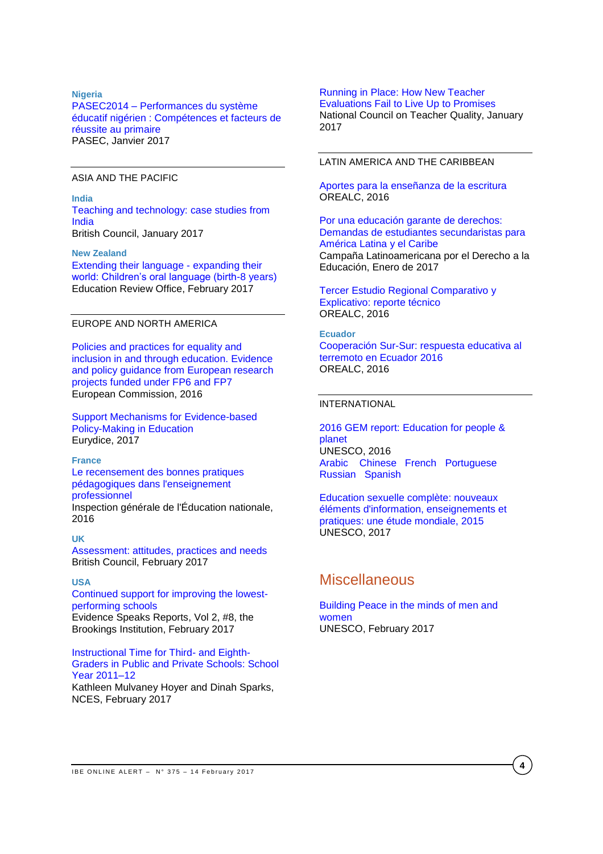#### **Nigeria**

PASEC2014 – [Performances du système](http://www.pasec.confemen.org/wp-content/uploads/2017/01/PASEC2014_Rapport-Niger_Final.pdf)  [éducatif nigérien : Compétences et facteurs de](http://www.pasec.confemen.org/wp-content/uploads/2017/01/PASEC2014_Rapport-Niger_Final.pdf)  [réussite au primaire](http://www.pasec.confemen.org/wp-content/uploads/2017/01/PASEC2014_Rapport-Niger_Final.pdf) PASEC, Janvier 2017

#### ASIA AND THE PACIFIC

#### **India**

[Teaching and technology: case studies from](http://www.teachingenglish.org.uk/sites/teacheng/files/Teaching%20and%20technology%20case%20studies%20from%20India_FINAL_low_res_NEW.pdf)  [India](http://www.teachingenglish.org.uk/sites/teacheng/files/Teaching%20and%20technology%20case%20studies%20from%20India_FINAL_low_res_NEW.pdf) British Council, January 2017

#### **New Zealand**

[Extending their language -](http://www.ero.govt.nz/assets/Uploads/Extending-their-language-expanding-their-world2.pdf) expanding their [world: Children's oral language \(birth-8 years\)](http://www.ero.govt.nz/assets/Uploads/Extending-their-language-expanding-their-world2.pdf) Education Review Office, February 2017

### EUROPE AND NORTH AMERICA

[Policies and practices for equality and](https://bookshop.europa.eu/en/policies-and-practices-for-equality-and-inclusion-in-and-through-education-pbNC0415452/)  [inclusion in and through education. Evidence](https://bookshop.europa.eu/en/policies-and-practices-for-equality-and-inclusion-in-and-through-education-pbNC0415452/)  [and policy guidance from European research](https://bookshop.europa.eu/en/policies-and-practices-for-equality-and-inclusion-in-and-through-education-pbNC0415452/)  [projects funded under FP6 and FP7](https://bookshop.europa.eu/en/policies-and-practices-for-equality-and-inclusion-in-and-through-education-pbNC0415452/) European Commission, 2016

[Support Mechanisms for Evidence-based](https://webgate.ec.europa.eu/fpfis/mwikis/eurydice/images/f/f4/206_EN_Evidence_based_policy_making.pdf)  [Policy-Making in Education](https://webgate.ec.europa.eu/fpfis/mwikis/eurydice/images/f/f4/206_EN_Evidence_based_policy_making.pdf) Eurydice, 2017

#### **France**

[Le recensement des bonnes pratiques](http://cache.media.education.gouv.fr/file/2016/44/7/2016-078_Recensement_enseignement_professionnel_690447.pdf)  [pédagogiques dans l'enseignement](http://cache.media.education.gouv.fr/file/2016/44/7/2016-078_Recensement_enseignement_professionnel_690447.pdf)  [professionnel](http://cache.media.education.gouv.fr/file/2016/44/7/2016-078_Recensement_enseignement_professionnel_690447.pdf) Inspection générale de l'Éducation nationale, 2016

#### **UK**

[Assessment: attitudes, practices and needs](http://www.teachingenglish.org.uk/sites/teacheng/files/G239_ELTRA_Sheehan%20and%20Munro_FINAL_web.pdf) British Council, February 2017

## **USA**

[Continued support for improving the lowest](https://www.brookings.edu/wp-content/uploads/2017/02/es_20170209_loeb_evidence_speaks.pdf)[performing schools](https://www.brookings.edu/wp-content/uploads/2017/02/es_20170209_loeb_evidence_speaks.pdf) Evidence Speaks Reports, Vol 2, #8, the Brookings Institution, February 2017

#### [Instructional Time for Third-](https://nces.ed.gov/pubs2017/2017076.pdf) and Eighth-[Graders in Public and Private Schools: School](https://nces.ed.gov/pubs2017/2017076.pdf)  [Year 2011–12](https://nces.ed.gov/pubs2017/2017076.pdf)

Kathleen Mulvaney Hoyer and Dinah Sparks, NCES, February 2017

### [Running in Place: How New Teacher](http://www.nctq.org/dmsStage/Final_Evaluation_Paper)

[Evaluations Fail to Live Up to Promises](http://www.nctq.org/dmsStage/Final_Evaluation_Paper) National Council on Teacher Quality, January 2017

#### LATIN AMERICA AND THE CARIBBEAN

[Aportes para la enseñanza de la escritura](http://unesdoc.unesco.org/images/0024/002447/244734s.pdf) OREALC, 2016

[Por una educación garante de derechos:](http://v2.campanaderechoeducacion.org/es/publicaciones/clade/publicaciones-tematicas.html?download=392%3A2017-01-20-21-16-50)  [Demandas de estudiantes secundaristas para](http://v2.campanaderechoeducacion.org/es/publicaciones/clade/publicaciones-tematicas.html?download=392%3A2017-01-20-21-16-50)  [América Latina y el Caribe](http://v2.campanaderechoeducacion.org/es/publicaciones/clade/publicaciones-tematicas.html?download=392%3A2017-01-20-21-16-50) Campaña Latinoamericana por el Derecho a la Educación, Enero de 2017

[Tercer Estudio Regional Comparativo y](http://unesdoc.unesco.org/images/0024/002471/247123s.pdf)  [Explicativo: reporte técnico](http://unesdoc.unesco.org/images/0024/002471/247123s.pdf) OREALC, 2016

### **Ecuador**

[Cooperación Sur-Sur: respuesta educativa al](http://unesdoc.unesco.org/images/0024/002471/247121s.pdf)  [terremoto en Ecuador 2016](http://unesdoc.unesco.org/images/0024/002471/247121s.pdf) OREALC, 2016

### INTERNATIONAL

[2016 GEM report: Education for people &](http://unesdoc.unesco.org/images/0024/002457/245742e.pdf)  [planet](http://unesdoc.unesco.org/images/0024/002457/245742e.pdf) UNESCO, 2016 [Arabic](http://unesdoc.unesco.org/images/0024/002457/245742a.pdf) [Chinese](http://unesdoc.unesco.org/images/0024/002457/245742c.pdf) [French](http://unesdoc.unesco.org/images/0024/002457/245742f.pdf) [Portuguese](http://unesdoc.unesco.org/images/0024/002457/245742p.pdf)  [Russian](http://unesdoc.unesco.org/images/0024/002457/245742r.pdf) [Spanish](http://unesdoc.unesco.org/images/0024/002457/245742s.pdf)

[Education sexuelle complète: nouveaux](http://unesdoc.unesco.org/images/0024/002470/247010f.pdf)  [éléments d'information, enseignements et](http://unesdoc.unesco.org/images/0024/002470/247010f.pdf)  [pratiques: une étude mondiale, 2015](http://unesdoc.unesco.org/images/0024/002470/247010f.pdf) UNESCO, 2017

## **Miscellaneous**

#### [Building Peace in the minds of men and](http://www.unesco.org/new/en/unesco/themes/gender-equality/)  [women](http://www.unesco.org/new/en/unesco/themes/gender-equality/) UNESCO, February 2017